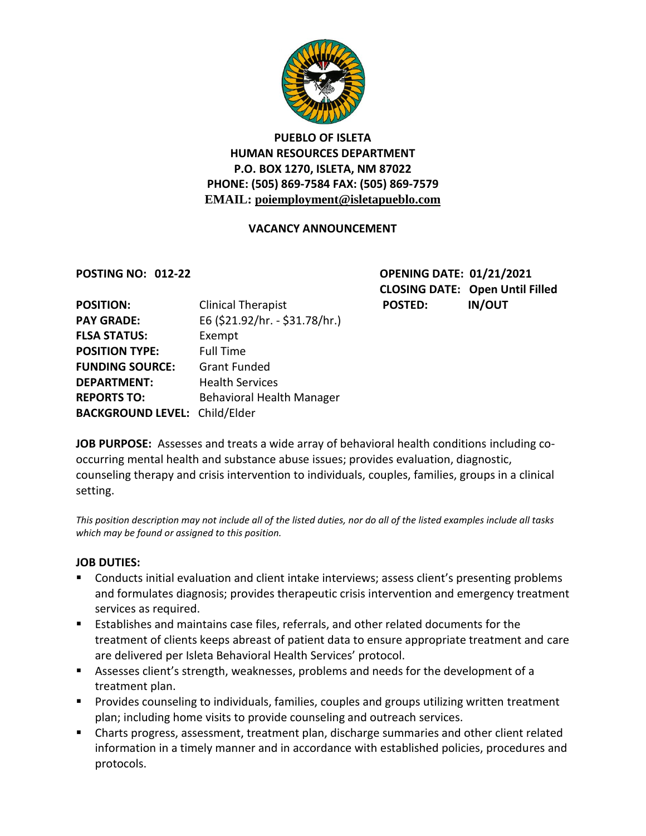

# **PUEBLO OF ISLETA HUMAN RESOURCES DEPARTMENT P.O. BOX 1270, ISLETA, NM 87022 PHONE: (505) 869-7584 FAX: (505) 869-7579 EMAIL: poiemployment@isletapueblo.com**

## **VACANCY ANNOUNCEMENT**

**POSTING NO: 012-22 OPENING DATE: 01/21/2021 CLOSING DATE: Open Until Filled**

| <b>POSITION:</b>                     | <b>Clinical Therapist</b>        | <b>POSTED:</b> | <b>IN/OUT</b> |
|--------------------------------------|----------------------------------|----------------|---------------|
| <b>PAY GRADE:</b>                    | E6 (\$21.92/hr. - \$31.78/hr.)   |                |               |
| <b>FLSA STATUS:</b>                  | Exempt                           |                |               |
| <b>POSITION TYPE:</b>                | <b>Full Time</b>                 |                |               |
| <b>FUNDING SOURCE:</b>               | <b>Grant Funded</b>              |                |               |
| <b>DEPARTMENT:</b>                   | <b>Health Services</b>           |                |               |
| <b>REPORTS TO:</b>                   | <b>Behavioral Health Manager</b> |                |               |
| <b>BACKGROUND LEVEL: Child/Elder</b> |                                  |                |               |

**JOB PURPOSE:** Assesses and treats a wide array of behavioral health conditions including cooccurring mental health and substance abuse issues; provides evaluation, diagnostic, counseling therapy and crisis intervention to individuals, couples, families, groups in a clinical setting.

*This position description may not include all of the listed duties, nor do all of the listed examples include all tasks which may be found or assigned to this position.*

#### **JOB DUTIES:**

- **Conducts initial evaluation and client intake interviews; assess client's presenting problems** and formulates diagnosis; provides therapeutic crisis intervention and emergency treatment services as required.
- Establishes and maintains case files, referrals, and other related documents for the treatment of clients keeps abreast of patient data to ensure appropriate treatment and care are delivered per Isleta Behavioral Health Services' protocol.
- Assesses client's strength, weaknesses, problems and needs for the development of a treatment plan.
- **Provides counseling to individuals, families, couples and groups utilizing written treatment** plan; including home visits to provide counseling and outreach services.
- Charts progress, assessment, treatment plan, discharge summaries and other client related information in a timely manner and in accordance with established policies, procedures and protocols.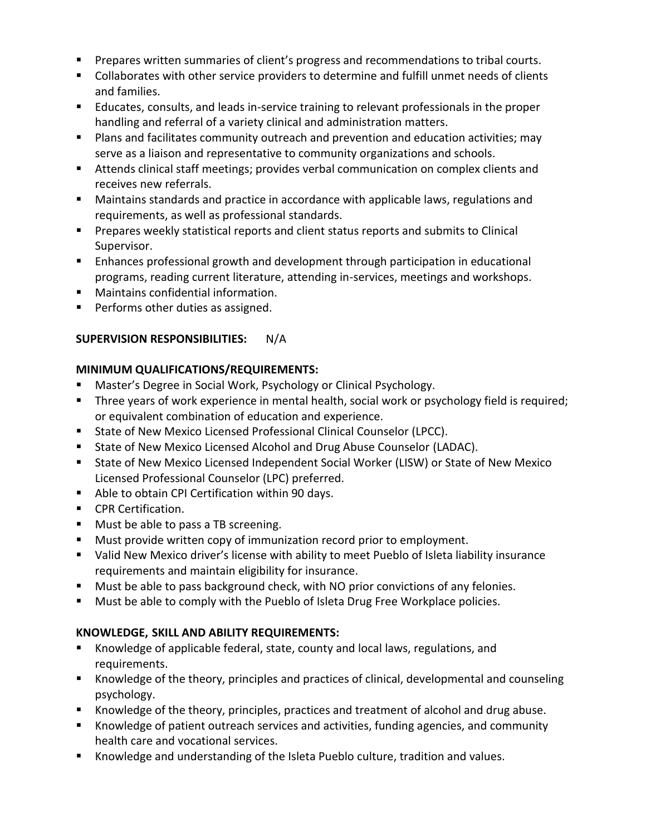- **Prepares written summaries of client's progress and recommendations to tribal courts.**
- Collaborates with other service providers to determine and fulfill unmet needs of clients and families.
- Educates, consults, and leads in-service training to relevant professionals in the proper handling and referral of a variety clinical and administration matters.
- **Plans and facilitates community outreach and prevention and education activities; may** serve as a liaison and representative to community organizations and schools.
- Attends clinical staff meetings; provides verbal communication on complex clients and receives new referrals.
- Maintains standards and practice in accordance with applicable laws, regulations and requirements, as well as professional standards.
- **Prepares weekly statistical reports and client status reports and submits to Clinical** Supervisor.
- Enhances professional growth and development through participation in educational programs, reading current literature, attending in-services, meetings and workshops.
- Maintains confidential information.
- **Performs other duties as assigned.**

## **SUPERVISION RESPONSIBILITIES:** N/A

## **MINIMUM QUALIFICATIONS/REQUIREMENTS:**

- Master's Degree in Social Work, Psychology or Clinical Psychology.
- Three years of work experience in mental health, social work or psychology field is required; or equivalent combination of education and experience.
- State of New Mexico Licensed Professional Clinical Counselor (LPCC).
- **State of New Mexico Licensed Alcohol and Drug Abuse Counselor (LADAC).**
- State of New Mexico Licensed Independent Social Worker (LISW) or State of New Mexico Licensed Professional Counselor (LPC) preferred.
- Able to obtain CPI Certification within 90 days.
- **CPR Certification.**
- **Must be able to pass a TB screening.**
- Must provide written copy of immunization record prior to employment.
- Valid New Mexico driver's license with ability to meet Pueblo of Isleta liability insurance requirements and maintain eligibility for insurance.
- **Must be able to pass background check, with NO prior convictions of any felonies.**
- **Must be able to comply with the Pueblo of Isleta Drug Free Workplace policies.**

## **KNOWLEDGE, SKILL AND ABILITY REQUIREMENTS:**

- Knowledge of applicable federal, state, county and local laws, regulations, and requirements.
- Knowledge of the theory, principles and practices of clinical, developmental and counseling psychology.
- Knowledge of the theory, principles, practices and treatment of alcohol and drug abuse.
- Knowledge of patient outreach services and activities, funding agencies, and community health care and vocational services.
- Knowledge and understanding of the Isleta Pueblo culture, tradition and values.